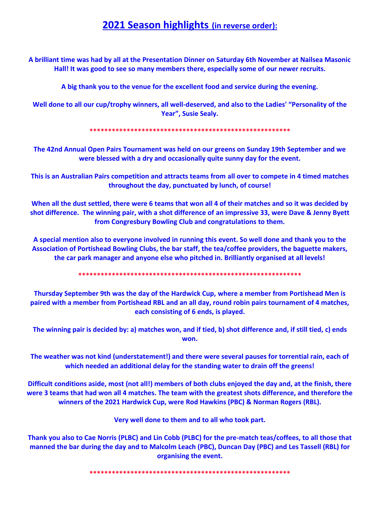## **2021 Season highlights (in reverse order):**

**A brilliant time was had by all at the Presentation Dinner on Saturday 6th November at Nailsea Masonic Hall! It was good to see so many members there, especially some of our newer recruits.**

**A big thank you to the venue for the excellent food and service during the evening.**

**Well done to all our cup/trophy winners, all well-deserved, and also to the Ladies' "Personality of the Year", Susie Sealy.**

**\*\*\*\*\*\*\*\*\*\*\*\*\*\*\*\*\*\*\*\*\*\*\*\*\*\*\*\*\*\*\*\*\*\*\*\*\*\*\*\*\*\*\*\*\*\*\*\*\*\*\*\*\*\***

**The 42nd Annual Open Pairs Tournament was held on our greens on Sunday 19th September and we were blessed with a dry and occasionally quite sunny day for the event.**

**This is an Australian Pairs competition and attracts teams from all over to compete in 4 timed matches throughout the day, punctuated by lunch, of course!**

**When all the dust settled, there were 6 teams that won all 4 of their matches and so it was decided by shot difference. The winning pair, with a shot difference of an impressive 33, were Dave & Jenny Byett from Congresbury Bowling Club and congratulations to them.**

**A special mention also to everyone involved in running this event. So well done and thank you to the Association of Portishead Bowling Clubs, the bar staff, the tea/coffee providers, the baguette makers, the car park manager and anyone else who pitched in. Brilliantly organised at all levels!**

**\*\*\*\*\*\*\*\*\*\*\*\*\*\*\*\*\*\*\*\*\*\*\*\*\*\*\*\*\*\*\*\*\*\*\*\*\*\*\*\*\*\*\*\*\*\*\*\*\*\*\*\*\*\*\*\*\*\*\*\***

**Thursday September 9th was the day of the Hardwick Cup, where a member from Portishead Men is paired with a member from Portishead RBL and an all day, round robin pairs tournament of 4 matches, each consisting of 6 ends, is played.**

**The winning pair is decided by: a) matches won, and if tied, b) shot difference and, if still tied, c) ends won.**

**The weather was not kind (understatement!) and there were several pauses for torrential rain, each of which needed an additional delay for the standing water to drain off the greens!**

**Difficult conditions aside, most (not all!) members of both clubs enjoyed the day and, at the finish, there were 3 teams that had won all 4 matches. The team with the greatest shots difference, and therefore the winners of the 2021 Hardwick Cup, were Rod Hawkins (PBC) & Norman Rogers (RBL).** 

**Very well done to them and to all who took part.**

**Thank you also to Cae Norris (PLBC) and Lin Cobb (PLBC) for the pre-match teas/coffees, to all those that manned the bar during the day and to Malcolm Leach (PBC), Duncan Day (PBC) and Les Tassell (RBL) for organising the event.**

**\*\*\*\*\*\*\*\*\*\*\*\*\*\*\*\*\*\*\*\*\*\*\*\*\*\*\*\*\*\*\*\*\*\*\*\*\*\*\*\*\*\*\*\*\*\*\*\*\*\*\*\*\*\***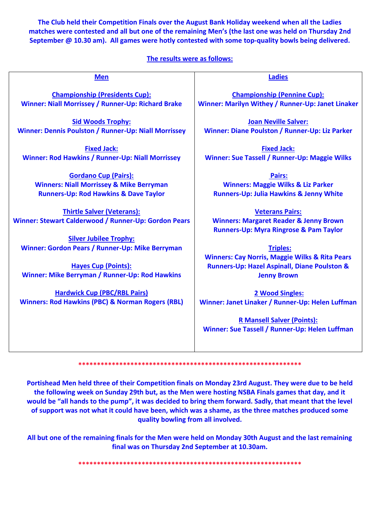**The Club held their Competition Finals over the August Bank Holiday weekend when all the Ladies matches were contested and all but one of the remaining Men's (the last one was held on Thursday 2nd September @ 10.30 am). All games were hotly contested with some top-quality bowls being delivered.**

## **The results were as follows:**

| <b>Men</b>                                                                                | <b>Ladies</b>                                                                                                                    |
|-------------------------------------------------------------------------------------------|----------------------------------------------------------------------------------------------------------------------------------|
| <b>Championship (Presidents Cup):</b>                                                     | <b>Championship (Pennine Cup):</b>                                                                                               |
| Winner: Niall Morrissey / Runner-Up: Richard Brake                                        | Winner: Marilyn Withey / Runner-Up: Janet Linaker                                                                                |
| <b>Sid Woods Trophy:</b>                                                                  | <b>Joan Neville Salver:</b>                                                                                                      |
| Winner: Dennis Poulston / Runner-Up: Niall Morrissey                                      | Winner: Diane Poulston / Runner-Up: Liz Parker                                                                                   |
| <b>Fixed Jack:</b>                                                                        | <b>Fixed Jack:</b>                                                                                                               |
| <b>Winner: Rod Hawkins / Runner-Up: Niall Morrissey</b>                                   | <b>Winner: Sue Tassell / Runner-Up: Maggie Wilks</b>                                                                             |
| <b>Gordano Cup (Pairs):</b>                                                               | Pairs:                                                                                                                           |
| <b>Winners: Niall Morrissey &amp; Mike Berryman</b>                                       | <b>Winners: Maggie Wilks &amp; Liz Parker</b>                                                                                    |
| <b>Runners-Up: Rod Hawkins &amp; Dave Taylor</b>                                          | <b>Runners-Up: Julia Hawkins &amp; Jenny White</b>                                                                               |
| <b>Thirtle Salver (Veterans):</b><br>Winner: Stewart Calderwood / Runner-Up: Gordon Pears | <b>Veterans Pairs:</b><br><b>Winners: Margaret Reader &amp; Jenny Brown</b><br><b>Runners-Up: Myra Ringrose &amp; Pam Taylor</b> |
| <b>Silver Jubilee Trophy:</b>                                                             | <b>Triples:</b>                                                                                                                  |
| Winner: Gordon Pears / Runner-Up: Mike Berryman                                           | <b>Winners: Cay Norris, Maggie Wilks &amp; Rita Pears</b>                                                                        |
| <b>Hayes Cup (Points):</b>                                                                | <b>Runners-Up: Hazel Aspinall, Diane Poulston &amp;</b>                                                                          |
| Winner: Mike Berryman / Runner-Up: Rod Hawkins                                            | <b>Jenny Brown</b>                                                                                                               |
| <b>Hardwick Cup (PBC/RBL Pairs)</b>                                                       | 2 Wood Singles:                                                                                                                  |

**Hardwick Cup (PBC/RBL Pairs) Winners: Rod Hawkins (PBC) & Norman Rogers (RBL)**

**2 Wood Singles: Winner: Janet Linaker / Runner-Up: Helen Luffman**

**R Mansell Salver (Points): Winner: Sue Tassell / Runner-Up: Helen Luffman**

**\*\*\*\*\*\*\*\*\*\*\*\*\*\*\*\*\*\*\*\*\*\*\*\*\*\*\*\*\*\*\*\*\*\*\*\*\*\*\*\*\*\*\*\*\*\*\*\*\*\*\*\*\*\*\*\*\*\*\*\***

**Portishead Men held three of their Competition finals on Monday 23rd August. They were due to be held the following week on Sunday 29th but, as the Men were hosting NSBA Finals games that day, and it would be "all hands to the pump", it was decided to bring them forward. Sadly, that meant that the level of support was not what it could have been, which was a shame, as the three matches produced some quality bowling from all involved.**

**All but one of the remaining finals for the Men were held on Monday 30th August and the last remaining final was on Thursday 2nd September at 10.30am.**

**\*\*\*\*\*\*\*\*\*\*\*\*\*\*\*\*\*\*\*\*\*\*\*\*\*\*\*\*\*\*\*\*\*\*\*\*\*\*\*\*\*\*\*\*\*\*\*\*\*\*\*\*\*\*\*\*\*\*\*\***